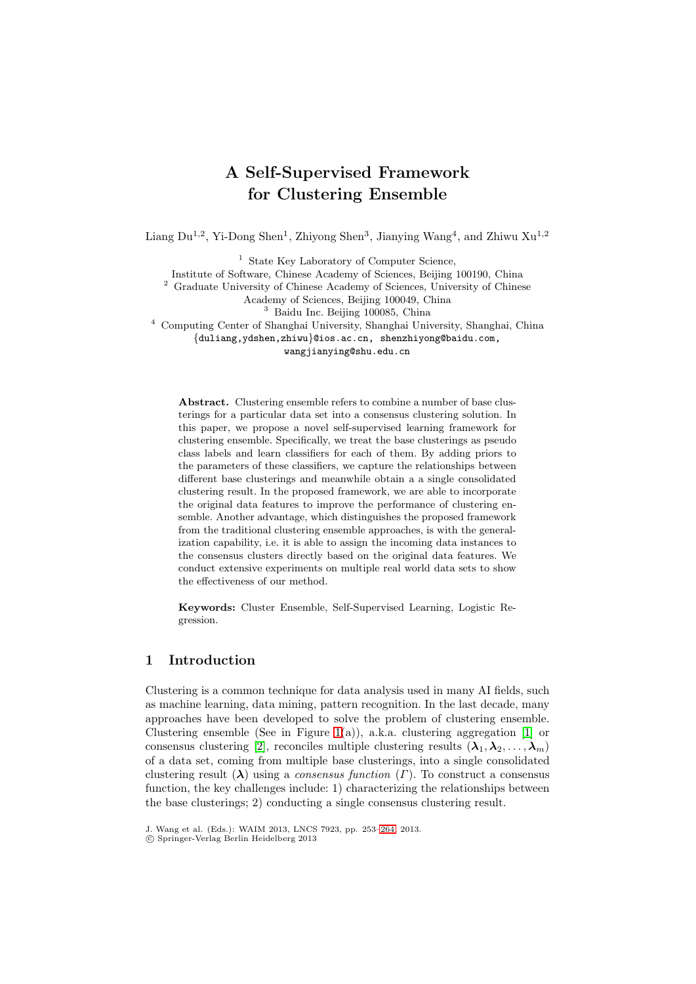# **A Self-Supervised Framework for Clustering Ensemble**

Liang  $Du^{1,2}$ , Yi-Dong Shen<sup>1</sup>, Zhiyong Shen<sup>3</sup>, Jianying Wang<sup>4</sup>, and Zhiwu Xu<sup>1,2</sup>

<sup>1</sup> State Key Laboratory of Computer Science,

Institute of Software, Chinese Academy of Sciences, Beijing 100190, China

<sup>2</sup> Graduate University of Chinese Academy of Sciences, University of Chinese

Academy of Sciences, Beijing 100049, China

<sup>3</sup> Baidu Inc. Beijing 100085, China

<sup>4</sup> Computing Center of Shanghai University, Shanghai University, Shanghai, China

*{*duliang,ydshen,zhiwu*}*@ios.ac.cn, shenzhiyong@baidu.com,

wangjianying@shu.edu.cn

**Abstract.** Clustering ensemble refers to combine a number of base clusterings for a particular data set into a consensus clustering solution. In this paper, we propose a novel self-supervised learning framework for clustering ensemble. Specifically, we treat the base clusterings as pseudo class labels and learn classifiers for each of them. By adding priors to the parameters of these classifiers, we capture the relationships between different base clusterings and meanwhile obtain a a single consolidated clustering result. In the proposed framework, we are able to incorporate the original data features to improve the performance of clustering ensemble. Another advantage, which distinguishes the proposed framework from the traditional clustering ensemble approaches, is with the generalization capability, i.e. it is able to assign the incoming data instances to the consensus clusters directly based on the original data features. We conduct extensive experiments on multiple real world data sets to show the effectiveness of our method.

**Keywords:** Cluster Ensemble, Self-Supervised Learning, Logistic Regression.

# <span id="page-0-0"></span>**1 Introduction**

Clustering is a common technique for data analysis used in many AI fields, such as machine learning, data mining, pattern recognition. In the last decade, many approaches have been developed to solve the problem of clustering ensemble. Clustering ensemble (See in Figure [1\(](#page-0-0)a)), a.k.a. clustering aggregation [\[1\]](#page-10-0) or consensus clustering [\[2\]](#page-10-1), reconciles multiple clustering results  $(\lambda_1, \lambda_2, \ldots, \lambda_m)$ of a data set, coming from multiple base clusterings, into a single consolidated clustering result  $(\lambda)$  using a *consensus function*  $(\Gamma)$ . To construct a consensus function, the key challenges include: 1) characterizing the relationships between the base clusterings; 2) conducting a single consensus clustering result.

J. Wang et al. (Eds.): WAIM 2013, LNCS 7923, pp. 253[–264,](#page-10-2) 2013.

<sup>-</sup>c Springer-Verlag Berlin Heidelberg 2013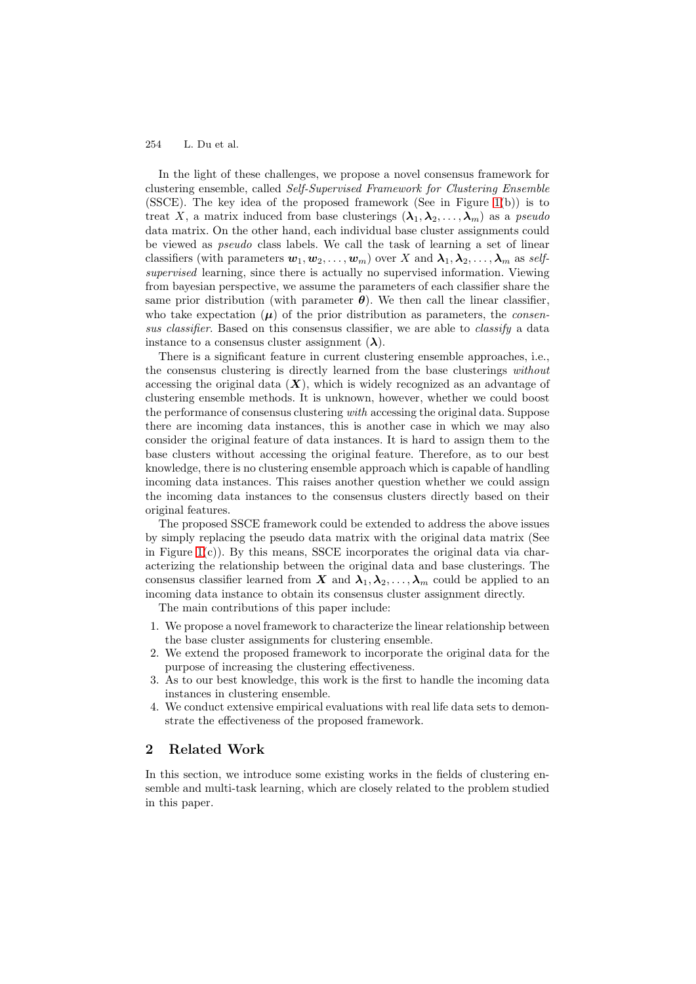In the light of these challenges, we propose a novel consensus framework for clustering ensemble, called *Self-Supervised Framework for Clustering Ensemble* (SSCE). The key idea of the proposed framework (See in Figure  $1(b)$ ) is to treat X, a matrix induced from base clusterings  $(\lambda_1, \lambda_2, \ldots, \lambda_m)$  as a *pseudo* data matrix. On the other hand, each individual base cluster assignments could be viewed as *pseudo* class labels. We call the task of learning a set of linear classifiers (with parameters  $w_1, w_2, \ldots, w_m$ ) over X and  $\lambda_1, \lambda_2, \ldots, \lambda_m$  as *selfsupervised* learning, since there is actually no supervised information. Viewing from bayesian perspective, we assume the parameters of each classifier share the same prior distribution (with parameter  $\theta$ ). We then call the linear classifier, who take expectation  $(\mu)$  of the prior distribution as parameters, the *consensus classifier*. Based on this consensus classifier, we are able to *classify* a data instance to a consensus cluster assignment  $(\lambda)$ .

There is a significant feature in current clustering ensemble approaches, i.e., the consensus clustering is directly learned from the base clusterings *without* accessing the original data  $(X)$ , which is widely recognized as an advantage of clustering ensemble methods. It is unknown, however, whether we could boost the performance of consensus clustering *with* accessing the original data. Suppose there are incoming data instances, this is another case in which we may also consider the original feature of data instances. It is hard to assign them to the base clusters without accessing the original feature. Therefore, as to our best knowledge, there is no clustering ensemble approach which is capable of handling incoming data instances. This raises another question whether we could assign the incoming data instances to the consensus clusters directly based on their original features.

The proposed SSCE framework could be extended to address the above issues by simply replacing the pseudo data matrix with the original data matrix (See in Figure  $1(c)$ ). By this means, SSCE incorporates the original data via characterizing the relationship between the original data and base clusterings. The consensus classifier learned from *X* and  $\lambda_1, \lambda_2, \ldots, \lambda_m$  could be applied to an incoming data instance to obtain its consensus cluster assignment directly.

The main contributions of this paper include:

- 1. We propose a novel framework to characterize the linear relationship between the base cluster assignments for clustering ensemble.
- 2. We extend the proposed framework to incorporate the original data for the purpose of increasing the clustering effectiveness.
- 3. As to our best knowledge, this work is the first to handle the incoming data instances in clustering ensemble.
- 4. We conduct extensive empirical evaluations with real life data sets to demonstrate the effectiveness of the proposed framework.

# **2 Related Work**

In this section, we introduce some existing works in the fields of clustering ensemble and multi-task learning, which are closely related to the problem studied in this paper.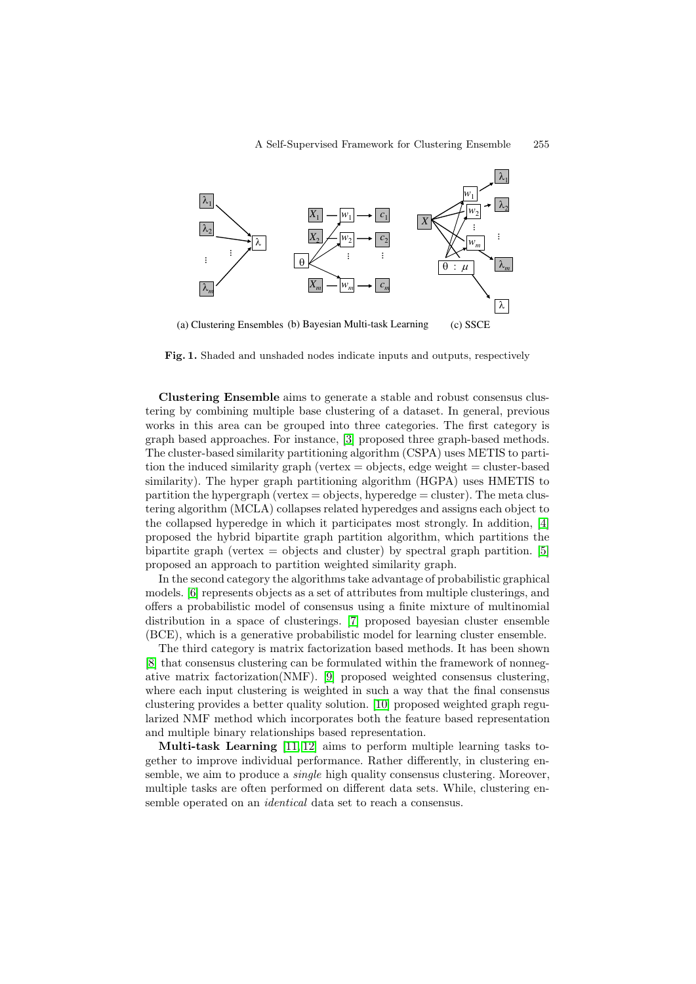

**Fig. 1.** Shaded and unshaded nodes indicate inputs and outputs, respectively

**Clustering Ensemble** aims to generate a stable and robust consensus clustering by combining multiple base clustering of a dataset. In general, previous works in this area can be grouped into three categories. The first category is graph based approaches. For instance, [\[3\]](#page-11-0) proposed three graph-based methods. The cluster-based similarity partitioning algorithm (CSPA) uses METIS to partition the induced similarity graph (vertex  $=$  objects, edge weight  $=$  cluster-based similarity). The hyper graph partitioning algorithm (HGPA) uses HMETIS to partition the hypergraph (vertex  $=$  objects, hyperedge  $=$  cluster). The meta clustering algorithm (MCLA) collapses related hyperedges and assigns each object to the collapsed hyperedge in which it participates most strongly. In addition, [\[4\]](#page-11-1) proposed the hybrid bipartite graph partition algorithm, which partitions the bipartite graph (vertex  $=$  objects and cluster) by spectral graph partition. [\[5\]](#page-11-2) proposed an approach to partition weighted similarity graph.

In the second category the algorithms take advantage of probabilistic graphical models. [\[6\]](#page-11-3) represents objects as a set of attributes from multiple clusterings, and offers a probabilistic model of consensus using a finite mixture of multinomial distribution in a space of clusterings. [\[7\]](#page-11-4) proposed bayesian cluster ensemble (BCE), which is a generative probabilistic model for learning cluster ensemble.

The third category is matrix factorization based methods. It has been shown [\[8\]](#page-11-5) that consensus clustering can be formulated within the framework of nonnegative matrix factorization(NMF). [\[9\]](#page-11-6) proposed weighted consensus clustering, where each input clustering is weighted in such a way that the final consensus clustering provides a better quality solution. [\[10\]](#page-11-7) proposed weighted graph regularized NMF method which incorporates both the feature based representation and multiple binary relationships based representation.

**Multi-task Learning** [\[11,](#page-11-8) [12\]](#page-11-9) aims to perform multiple learning tasks together to improve individual performance. Rather differently, in clustering ensemble, we aim to produce a *single* high quality consensus clustering. Moreover, multiple tasks are often performed on different data sets. While, clustering ensemble operated on an *identical* data set to reach a consensus.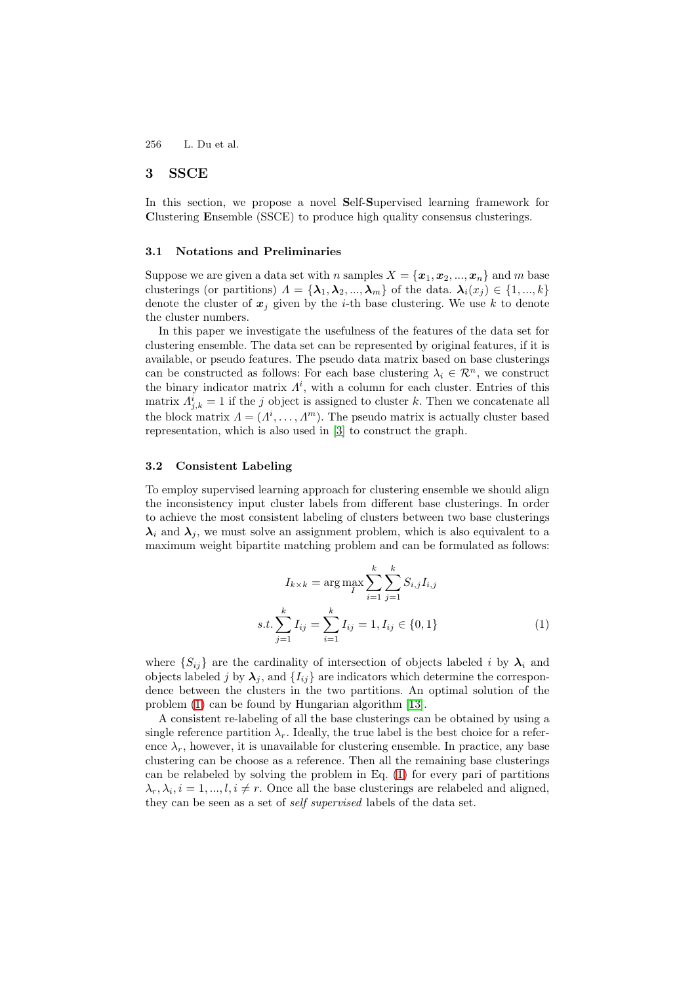## **3 SSCE**

In this section, we propose a novel **S**elf-**S**upervised learning framework for **C**lustering **E**nsemble (SSCE) to produce high quality consensus clusterings.

#### **3.1 Notations and Preliminaries**

Suppose we are given a data set with n samples  $X = \{x_1, x_2, ..., x_n\}$  and m base clusterings (or partitions)  $\Lambda = {\lambda_1, \lambda_2, ..., \lambda_m}$  of the data.  $\lambda_i(x_j) \in \{1, ..., k\}$ denote the cluster of  $x_j$  given by the *i*-th base clustering. We use k to denote the cluster numbers.

In this paper we investigate the usefulness of the features of the data set for clustering ensemble. The data set can be represented by original features, if it is available, or pseudo features. The pseudo data matrix based on base clusterings can be constructed as follows: For each base clustering  $\lambda_i \in \mathcal{R}^n$ , we construct the binary indicator matrix  $\Lambda^i$ , with a column for each cluster. Entries of this matrix  $A_{i,k}^{\tilde{i}} = 1$  if the j object is assigned to cluster k. Then we concatenate all the block matrix  $A = (A^i, \ldots, A^m)$ . The pseudo matrix is actually cluster based representation, which is also used in [\[3\]](#page-11-0) to construct the graph.

## **3.2 Consistent Labeling**

To employ supervised learning approach for clustering ensemble we should align the inconsistency input cluster labels from different base clusterings. In order to achieve the most consistent labeling of clusters between two base clusterings  $\lambda_i$  and  $\lambda_j$ , we must solve an assignment problem, which is also equivalent to a maximum weight bipartite matching problem and can be formulated as follows:

<span id="page-3-0"></span>
$$
I_{k \times k} = \arg \max_{I} \sum_{i=1}^{k} \sum_{j=1}^{k} S_{i,j} I_{i,j}
$$
  
s.t. 
$$
\sum_{j=1}^{k} I_{ij} = \sum_{i=1}^{k} I_{ij} = 1, I_{ij} \in \{0, 1\}
$$
 (1)

where  $\{S_{ij}\}\$ are the cardinality of intersection of objects labeled i by  $\lambda_i$  and objects labeled j by  $\lambda_j$ , and  $\{I_{ij}\}\$ are indicators which determine the correspondence between the clusters in the two partitions. An optimal solution of the problem [\(1\)](#page-3-0) can be found by Hungarian algorithm [\[13\]](#page-11-10).

A consistent re-labeling of all the base clusterings can be obtained by using a single reference partition  $\lambda_r$ . Ideally, the true label is the best choice for a reference  $\lambda_r$ , however, it is unavailable for clustering ensemble. In practice, any base clustering can be choose as a reference. Then all the remaining base clusterings can be relabeled by solving the problem in Eq. [\(1\)](#page-3-0) for every pari of partitions  $\lambda_r, \lambda_i, i = 1, ..., l, i \neq r$ . Once all the base clusterings are relabeled and aligned, they can be seen as a set of *self supervised* labels of the data set.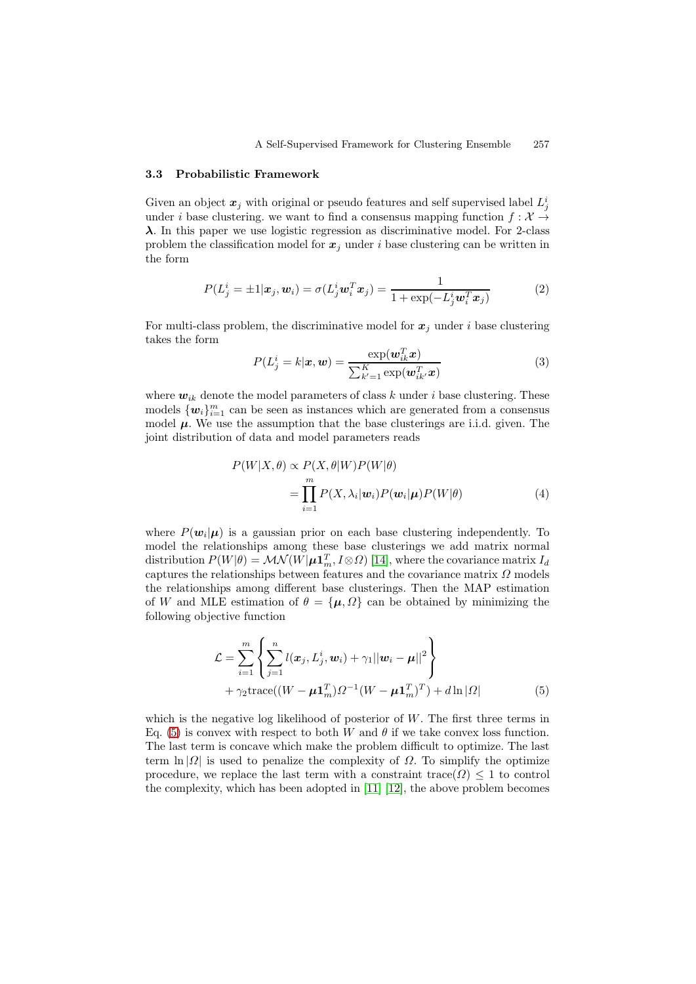#### **3.3 Probabilistic Framework**

Given an object  $x_j$  with original or pseudo features and self supervised label  $L_j^i$ under i base clustering. we want to find a consensus mapping function  $f: \mathcal{X} \rightarrow$ *λ*. In this paper we use logistic regression as discriminative model. For 2-class problem the classification model for  $x_j$  under i base clustering can be written in the form

<span id="page-4-1"></span>
$$
P(L_j^i = \pm 1 | \boldsymbol{x}_j, \boldsymbol{w}_i) = \sigma(L_j^i \boldsymbol{w}_i^T \boldsymbol{x}_j) = \frac{1}{1 + \exp(-L_j^i \boldsymbol{w}_i^T \boldsymbol{x}_j)}
$$
(2)

For multi-class problem, the discriminative model for  $x_j$  under i base clustering takes the form

<span id="page-4-2"></span>
$$
P(L_j^i = k | \mathbf{x}, \mathbf{w}) = \frac{\exp(\mathbf{w}_{ik}^T \mathbf{x})}{\sum_{k'=1}^K \exp(\mathbf{w}_{ik'}^T \mathbf{x})}
$$
(3)

where  $w_{ik}$  denote the model parameters of class k under i base clustering. These models  $\{w_i\}_{i=1}^m$  can be seen as instances which are generated from a consensus model  $\mu$ . We use the assumption that the base clusterings are i.i.d. given. The joint distribution of data and model parameters reads

$$
P(W|X,\theta) \propto P(X,\theta|W)P(W|\theta)
$$
  
= 
$$
\prod_{i=1}^{m} P(X,\lambda_i|\mathbf{w}_i)P(\mathbf{w}_i|\boldsymbol{\mu})P(W|\theta)
$$
 (4)

where  $P(\mathbf{w}_i|\boldsymbol{\mu})$  is a gaussian prior on each base clustering independently. To model the relationships among these base clusterings we add matrix normal distribution  $P(W|\theta) = \mathcal{MN}(W|\mu \mathbf{1}_m^T, I \otimes \Omega)$  [\[14\]](#page-11-11), where the covariance matrix  $I_d$ captures the relationships between features and the covariance matrix  $\Omega$  models the relationships among different base clusterings. Then the MAP estimation of W and MLE estimation of  $\theta = {\mu, \Omega}$  can be obtained by minimizing the following objective function

<span id="page-4-0"></span>
$$
\mathcal{L} = \sum_{i=1}^{m} \left\{ \sum_{j=1}^{n} l(\boldsymbol{x}_j, L_j^i, \boldsymbol{w}_i) + \gamma_1 ||\boldsymbol{w}_i - \boldsymbol{\mu}||^2 \right\} + \gamma_2 \text{trace}((W - \boldsymbol{\mu} \mathbf{1}_m^T) \Omega^{-1} (W - \boldsymbol{\mu} \mathbf{1}_m^T)^T) + d \ln |\Omega| \tag{5}
$$

which is the negative log likelihood of posterior of  $W$ . The first three terms in Eq. [\(5\)](#page-4-0) is convex with respect to both W and  $\theta$  if we take convex loss function. The last term is concave which make the problem difficult to optimize. The last term  $\ln |\Omega|$  is used to penalize the complexity of  $\Omega$ . To simplify the optimize procedure, we replace the last term with a constraint trace( $\Omega$ ) < 1 to control the complexity, which has been adopted in [\[11\]](#page-11-8) [\[12\]](#page-11-9), the above problem becomes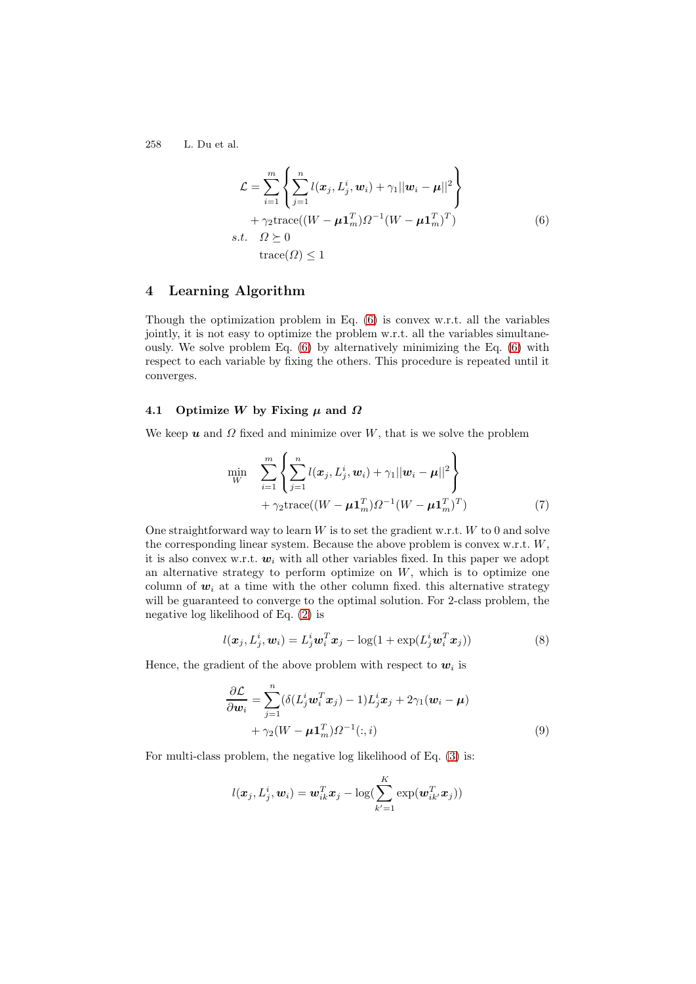<span id="page-5-0"></span>
$$
\mathcal{L} = \sum_{i=1}^{m} \left\{ \sum_{j=1}^{n} l(\boldsymbol{x}_j, L_j^i, \boldsymbol{w}_i) + \gamma_1 ||\boldsymbol{w}_i - \boldsymbol{\mu}||^2 \right\} + \gamma_2 \text{trace}((W - \boldsymbol{\mu} \mathbf{1}_m^T) \Omega^{-1} (W - \boldsymbol{\mu} \mathbf{1}_m^T)^T)
$$
\n*s.t.*  $\Omega \geq 0$   
\ntrace( $\Omega$ )  $\leq 1$  (6)

# **4 Learning Algorithm**

Though the optimization problem in Eq. [\(6\)](#page-5-0) is convex w.r.t. all the variables jointly, it is not easy to optimize the problem w.r.t. all the variables simultaneously. We solve problem Eq. [\(6\)](#page-5-0) by alternatively minimizing the Eq. [\(6\)](#page-5-0) with respect to each variable by fixing the others. This procedure is repeated until it converges.

## **4.1 Optimize** *W* **by Fixing** *μ* **and** *Ω*

We keep  $\boldsymbol{u}$  and  $\Omega$  fixed and minimize over W, that is we solve the problem

$$
\min_{W} \sum_{i=1}^{m} \left\{ \sum_{j=1}^{n} l(\boldsymbol{x}_{j}, L_{j}^{i}, \boldsymbol{w}_{i}) + \gamma_{1} ||\boldsymbol{w}_{i} - \boldsymbol{\mu}||^{2} \right\} + \gamma_{2} \text{trace}((W - \boldsymbol{\mu} \mathbf{1}_{m}^{T}) \Omega^{-1} (W - \boldsymbol{\mu} \mathbf{1}_{m}^{T})^{T})
$$
\n(7)

One straightforward way to learn  $W$  is to set the gradient w.r.t.  $W$  to 0 and solve the corresponding linear system. Because the above problem is convex w.r.t. W, it is also convex w.r.t.  $w_i$  with all other variables fixed. In this paper we adopt an alternative strategy to perform optimize on  $W$ , which is to optimize one column of  $w_i$  at a time with the other column fixed. this alternative strategy will be guaranteed to converge to the optimal solution. For 2-class problem, the negative log likelihood of Eq. [\(2\)](#page-4-1) is

$$
l(\boldsymbol{x}_j, L_j^i, \boldsymbol{w}_i) = L_j^i \boldsymbol{w}_i^T \boldsymbol{x}_j - \log(1 + \exp(L_j^i \boldsymbol{w}_i^T \boldsymbol{x}_j))
$$
\n(8)

Hence, the gradient of the above problem with respect to  $w_i$  is

$$
\frac{\partial \mathcal{L}}{\partial \mathbf{w}_i} = \sum_{j=1}^n (\delta(L_j^i \mathbf{w}_i^T \mathbf{x}_j) - 1) L_j^i \mathbf{x}_j + 2\gamma_1 (\mathbf{w}_i - \boldsymbol{\mu}) + \gamma_2 (W - \boldsymbol{\mu} \mathbf{1}_m^T) \Omega^{-1}(:,i)
$$
\n(9)

For multi-class problem, the negative log likelihood of Eq. [\(3\)](#page-4-2) is:

<span id="page-5-2"></span><span id="page-5-1"></span>
$$
l(\boldsymbol{x}_j, L_j^i, \boldsymbol{w}_i) = \boldsymbol{w}_{ik}^T \boldsymbol{x}_j - \log(\sum_{k'=1}^K \exp(\boldsymbol{w}_{ik'}^T \boldsymbol{x}_j))
$$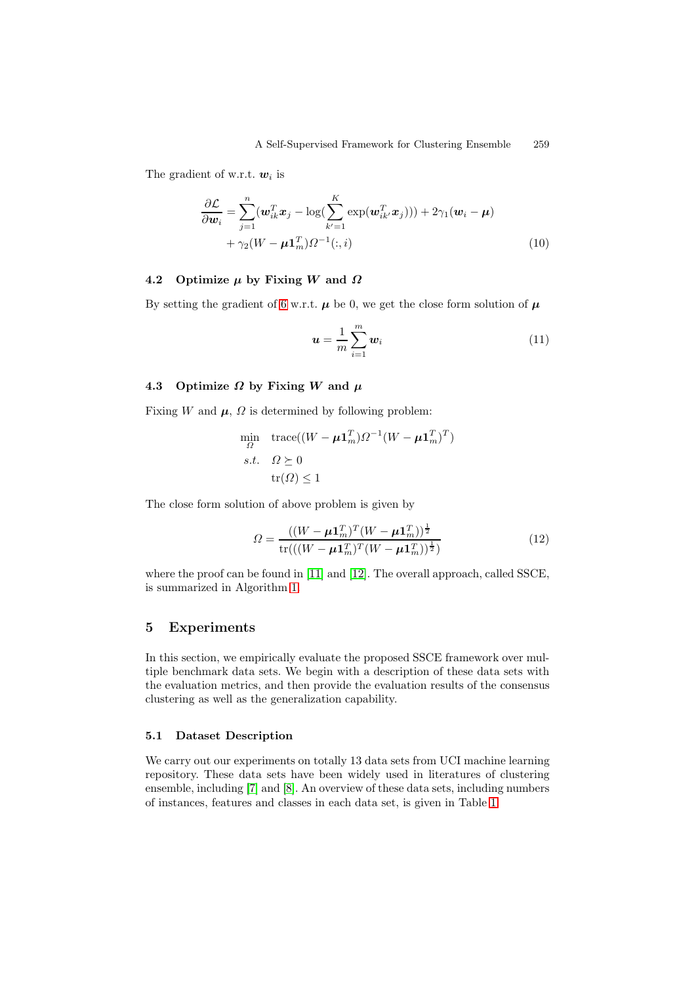The gradient of w.r.t.  $w_i$  is

$$
\frac{\partial \mathcal{L}}{\partial \mathbf{w}_i} = \sum_{j=1}^n (\mathbf{w}_{ik}^T \mathbf{x}_j - \log(\sum_{k'=1}^K \exp(\mathbf{w}_{ik'}^T \mathbf{x}_j))) + 2\gamma_1 (\mathbf{w}_i - \boldsymbol{\mu}) + \gamma_2 (W - \boldsymbol{\mu} \mathbf{1}_m^T) \Omega^{-1}(:,i)
$$
\n(10)

## **4.2 Optimize** *μ* **by Fixing** *W* **and** *Ω*

By setting the gradient of [6](#page-5-0) w.r.t.  $\mu$  be 0, we get the close form solution of  $\mu$ 

<span id="page-6-0"></span>
$$
\boldsymbol{u} = \frac{1}{m} \sum_{i=1}^{m} \boldsymbol{w}_i \tag{11}
$$

## **4.3** Optimize  $\Omega$  by Fixing  $W$  and  $\mu$

Fixing W and  $\mu$ ,  $\Omega$  is determined by following problem:

$$
\min_{\Omega} \quad \text{trace}((W - \mu \mathbf{1}_m^T) \Omega^{-1} (W - \mu \mathbf{1}_m^T)^T)
$$
\n
$$
s.t. \quad \Omega \succeq 0
$$
\n
$$
\text{tr}(\Omega) \le 1
$$

The close form solution of above problem is given by

<span id="page-6-1"></span>
$$
\Omega = \frac{((W - \mu \mathbf{1}_m^T)^T (W - \mu \mathbf{1}_m^T))^{\frac{1}{2}}}{\text{tr}(((W - \mu \mathbf{1}_m^T)^T (W - \mu \mathbf{1}_m^T))^{\frac{1}{2}})}
$$
(12)

where the proof can be found in [\[11\]](#page-11-8) and [\[12\]](#page-11-9). The overall approach, called SSCE, is summarized in Algorithm [1.](#page-7-0)

## **5 Experiments**

In this section, we empirically evaluate the proposed SSCE framework over multiple benchmark data sets. We begin with a description of these data sets with the evaluation metrics, and then provide the evaluation results of the consensus clustering as well as the generalization capability.

## **5.1 Dataset Description**

We carry out our experiments on totally 13 data sets from UCI machine learning repository. These data sets have been widely used in literatures of clustering ensemble, including [\[7\]](#page-11-4) and [\[8\]](#page-11-5). An overview of these data sets, including numbers of instances, features and classes in each data set, is given in Table [1.](#page-8-0)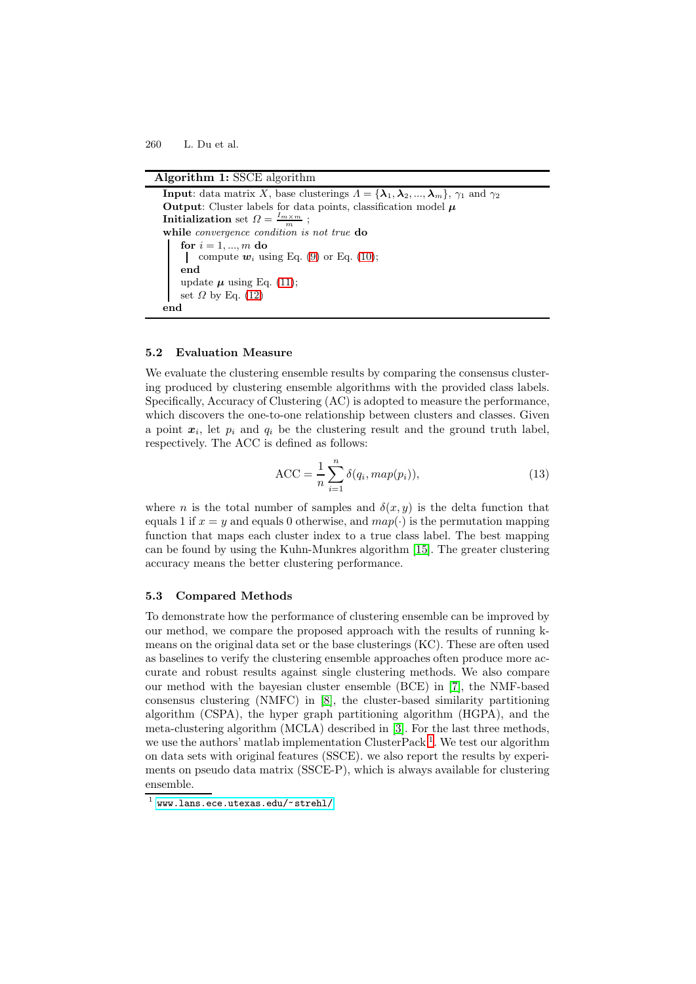#### **Algorithm 1:** SSCE algorithm

```
Input: data matrix X, base clusterings \overline{A} = {\lambda_1, \lambda_2, ..., \lambda_m}, \gamma_1 and \gamma_2Output: Cluster labels for data points, classification model μ
Initialization set \Omega = \frac{I_{m \times m}}{m};
while convergence condition is not true do
    for i = 1, ..., m do
    compute w_i(9)(10);
    end
    update \mu(11);
   set \Omega(12)
end
```
## <span id="page-7-0"></span>**5.2 Evaluation Measure**

We evaluate the clustering ensemble results by comparing the consensus clustering produced by clustering ensemble algorithms with the provided class labels. Specifically, Accuracy of Clustering (AC) is adopted to measure the performance, which discovers the one-to-one relationship between clusters and classes. Given a point  $x_i$ , let  $p_i$  and  $q_i$  be the clustering result and the ground truth label, respectively. The ACC is defined as follows:

$$
\text{ACC} = \frac{1}{n} \sum_{i=1}^{n} \delta(q_i, map(p_i)),\tag{13}
$$

where n is the total number of samples and  $\delta(x, y)$  is the delta function that equals 1 if  $x = y$  and equals 0 otherwise, and  $map(\cdot)$  is the permutation mapping function that maps each cluster index to a true class label. The best mapping can be found by using the Kuhn-Munkres algorithm [\[15\]](#page-11-12). The greater clustering accuracy means the better clustering performance.

### **5.3 Compared Methods**

To demonstrate how the performance of clustering ensemble can be improved by our method, we compare the proposed approach with the results of running kmeans on the original data set or the base clusterings (KC). These are often used as baselines to verify the clustering ensemble approaches often produce more accurate and robust results against single clustering methods. We also compare our method with the bayesian cluster ensemble (BCE) in [\[7\]](#page-11-4), the NMF-based consensus clustering (NMFC) in [\[8\]](#page-11-5), the cluster-based similarity partitioning algorithm (CSPA), the hyper graph partitioning algorithm (HGPA), and the meta-clustering algorithm (MCLA) described in [\[3\]](#page-11-0). For the last three methods, we use the authors' matlab implementation ClusterPack<sup>[1](#page-7-1)</sup>. We test our algorithm on data sets with original features (SSCE). we also report the results by experiments on pseudo data matrix (SSCE-P), which is always available for clustering ensemble.

<span id="page-7-1"></span> $^{1}$  <www.lans.ece.utexas.edu/~strehl/>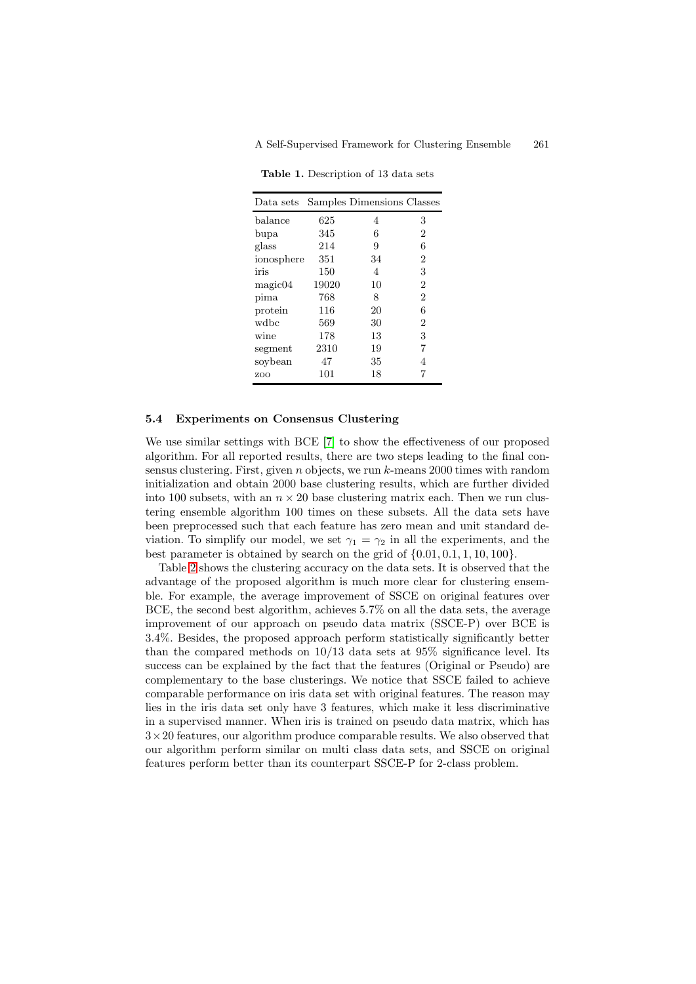| Data sets  |       | Samples Dimensions Classes |                |
|------------|-------|----------------------------|----------------|
| balance    | 625   | 4                          | 3              |
| bupa       | 345   | 6                          | 2              |
| glass      | 214   | 9                          | 6              |
| ionosphere | 351   | 34                         | 2              |
| iris       | 150   | 4                          | 3              |
| magic04    | 19020 | 10                         | $\overline{2}$ |
| pima       | 768   | 8                          | $\overline{2}$ |
| protein    | 116   | 20                         | 6              |
| wdbc       | 569   | 30                         | $\overline{2}$ |
| wine       | 178   | 13                         | 3              |
| segment    | 2310  | 19                         | 7              |
| soybean    | 47    | 35                         | 4              |
| ZOO        | 101   | 18                         |                |

<span id="page-8-0"></span>**Table 1.** Description of 13 data sets

#### **5.4 Experiments on Consensus Clustering**

We use similar settings with BCE [\[7\]](#page-11-4) to show the effectiveness of our proposed algorithm. For all reported results, there are two steps leading to the final consensus clustering. First, given  $n$  objects, we run  $k$ -means 2000 times with random initialization and obtain 2000 base clustering results, which are further divided into 100 subsets, with an  $n \times 20$  base clustering matrix each. Then we run clustering ensemble algorithm 100 times on these subsets. All the data sets have been preprocessed such that each feature has zero mean and unit standard deviation. To simplify our model, we set  $\gamma_1 = \gamma_2$  in all the experiments, and the best parameter is obtained by search on the grid of  $\{0.01, 0.1, 1, 10, 100\}$ .

Table [2](#page-9-0) shows the clustering accuracy on the data sets. It is observed that the advantage of the proposed algorithm is much more clear for clustering ensemble. For example, the average improvement of SSCE on original features over BCE, the second best algorithm, achieves 5.7% on all the data sets, the average improvement of our approach on pseudo data matrix (SSCE-P) over BCE is 3.4%. Besides, the proposed approach perform statistically significantly better than the compared methods on  $10/13$  data sets at 95% significance level. Its success can be explained by the fact that the features (Original or Pseudo) are complementary to the base clusterings. We notice that SSCE failed to achieve comparable performance on iris data set with original features. The reason may lies in the iris data set only have 3 features, which make it less discriminative in a supervised manner. When iris is trained on pseudo data matrix, which has  $3\times20$  features, our algorithm produce comparable results. We also observed that our algorithm perform similar on multi class data sets, and SSCE on original features perform better than its counterpart SSCE-P for 2-class problem.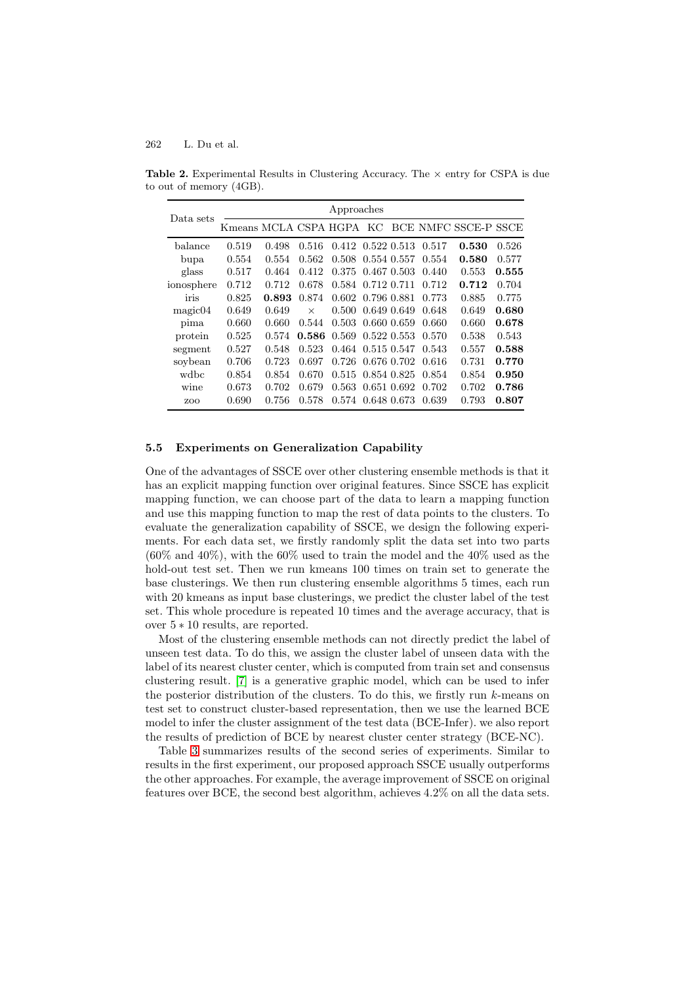<span id="page-9-0"></span>

| Data sets  | Approaches |       |          |                                         |  |  |                                 |                                               |       |
|------------|------------|-------|----------|-----------------------------------------|--|--|---------------------------------|-----------------------------------------------|-------|
|            |            |       |          |                                         |  |  |                                 | Kmeans MCLA CSPA HGPA KC BCE NMFC SSCE-P SSCE |       |
| balance    | 0.519      | 0.498 |          | $0.516$ $0.412$ $0.522$ $0.513$ $0.517$ |  |  |                                 | 0.530                                         | 0.526 |
| bupa       | 0.554      | 0.554 |          | $0.562$ $0.508$ $0.554$ $0.557$ $0.554$ |  |  |                                 | 0.580                                         | 0.577 |
| glass      | 0.517      | 0.464 |          | $0.412$ $0.375$ $0.467$ $0.503$ $0.440$ |  |  |                                 | 0.553                                         | 0.555 |
| ionosphere | 0.712      | 0.712 | 0.678    | 0.584 0.712 0.711 0.712                 |  |  |                                 | 0.712                                         | 0.704 |
| iris       | 0.825      |       |          | 0.893 0.874 0.602 0.796 0.881 0.773     |  |  |                                 | 0.885                                         | 0.775 |
| magic04    | 0.649      | 0.649 | $\times$ | 0.500 0.649 0.649                       |  |  | 0.648                           | 0.649                                         | 0.680 |
| pima       | 0.660      | 0.660 | 0.544    |                                         |  |  | $0.503$ $0.660$ $0.659$ $0.660$ | 0.660                                         | 0.678 |

protein 0.525 0.574 **0.586** 0.569 0.522 0.553 0.570 0.538 0.543 segment 0.527 0.548 0.523 0.464 0.515 0.547 0.543 0.557 **0.588** soybean 0.706 0.723 0.697 0.726 0.676 0.702 0.616 0.731 **0.770** wdbc 0.854 0.854 0.670 0.515 0.854 0.825 0.854 0.854 **0.950** wine 0.673 0.702 0.679 0.563 0.651 0.692 0.702 0.702 **0.786** zoo 0.690 0.756 0.578 0.574 0.648 0.673 0.639 0.793 **0.807**

**Table 2.** Experimental Results in Clustering Accuracy. The *×* entry for CSPA is due to out of memory (4GB).

#### **5.5 Experiments on Generalization Capability**

One of the advantages of SSCE over other clustering ensemble methods is that it has an explicit mapping function over original features. Since SSCE has explicit mapping function, we can choose part of the data to learn a mapping function and use this mapping function to map the rest of data points to the clusters. To evaluate the generalization capability of SSCE, we design the following experiments. For each data set, we firstly randomly split the data set into two parts  $(60\% \text{ and } 40\%)$ , with the  $60\%$  used to train the model and the  $40\%$  used as the hold-out test set. Then we run kmeans 100 times on train set to generate the base clusterings. We then run clustering ensemble algorithms 5 times, each run with 20 kmeans as input base clusterings, we predict the cluster label of the test set. This whole procedure is repeated 10 times and the average accuracy, that is over 5 ∗ 10 results, are reported.

Most of the clustering ensemble methods can not directly predict the label of unseen test data. To do this, we assign the cluster label of unseen data with the label of its nearest cluster center, which is computed from train set and consensus clustering result. [\[7\]](#page-11-4) is a generative graphic model, which can be used to infer the posterior distribution of the clusters. To do this, we firstly run  $k$ -means on test set to construct cluster-based representation, then we use the learned BCE model to infer the cluster assignment of the test data (BCE-Infer). we also report the results of prediction of BCE by nearest cluster center strategy (BCE-NC).

Table [3](#page-10-3) summarizes results of the second series of experiments. Similar to results in the first experiment, our proposed approach SSCE usually outperforms the other approaches. For example, the average improvement of SSCE on original features over BCE, the second best algorithm, achieves 4.2% on all the data sets.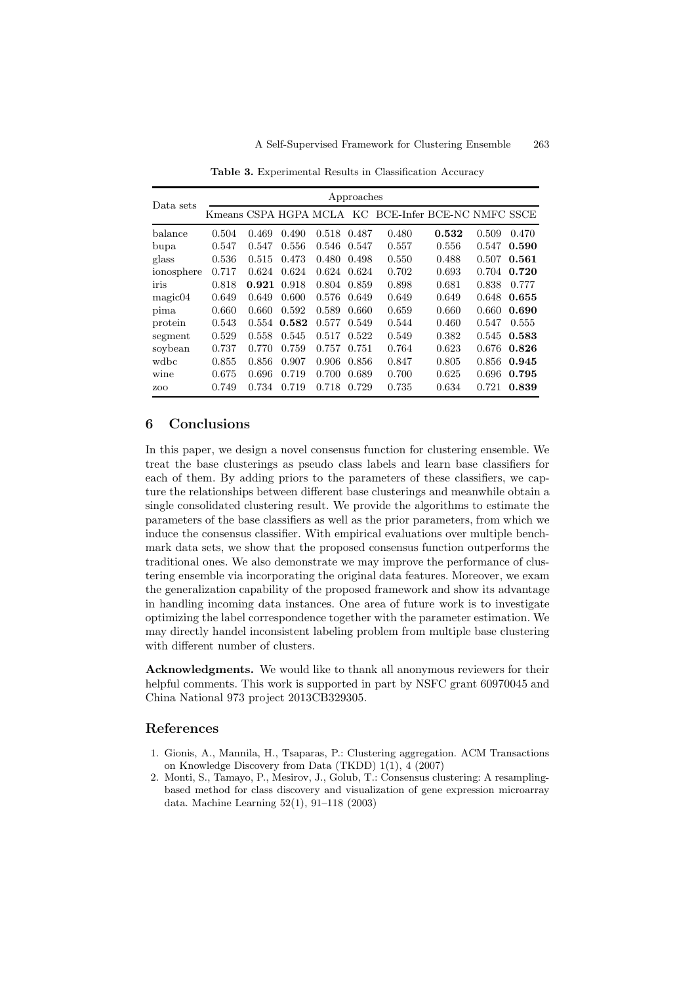| Data sets  | Approaches |       |       |       |       |                                                     |       |       |       |
|------------|------------|-------|-------|-------|-------|-----------------------------------------------------|-------|-------|-------|
|            |            |       |       |       |       | Kmeans CSPA HGPA MCLA KC BCE-Infer BCE-NC NMFC SSCE |       |       |       |
| $b$ alance | 0.504      | 0.469 | 0.490 | 0.518 | 0.487 | 0.480                                               | 0.532 | 0.509 | 0.470 |
| bupa       | 0.547      | 0.547 | 0.556 | 0.546 | 0.547 | 0.557                                               | 0.556 | 0.547 | 0.590 |
| glass      | 0.536      | 0.515 | 0.473 | 0.480 | 0.498 | 0.550                                               | 0.488 | 0.507 | 0.561 |
| ionosphere | 0.717      | 0.624 | 0.624 | 0.624 | 0.624 | 0.702                                               | 0.693 | 0.704 | 0.720 |
| iris       | 0.818      | 0.921 | 0.918 | 0.804 | 0.859 | 0.898                                               | 0.681 | 0.838 | 0.777 |
| magic04    | 0.649      | 0.649 | 0.600 | 0.576 | 0.649 | 0.649                                               | 0.649 | 0.648 | 0.655 |
| pima       | 0.660      | 0.660 | 0.592 | 0.589 | 0.660 | 0.659                                               | 0.660 | 0.660 | 0.690 |
| protein    | 0.543      | 0.554 | 0.582 | 0.577 | 0.549 | 0.544                                               | 0.460 | 0.547 | 0.555 |
| segment    | 0.529      | 0.558 | 0.545 | 0.517 | 0.522 | 0.549                                               | 0.382 | 0.545 | 0.583 |
| soybean    | 0.737      | 0.770 | 0.759 | 0.757 | 0.751 | 0.764                                               | 0.623 | 0.676 | 0.826 |
| wdbc       | 0.855      | 0.856 | 0.907 | 0.906 | 0.856 | 0.847                                               | 0.805 | 0.856 | 0.945 |
| wine       | 0.675      | 0.696 | 0.719 | 0.700 | 0.689 | 0.700                                               | 0.625 | 0.696 | 0.795 |
| ZOO        | 0.749      | 0.734 | 0.719 | 0.718 | 0.729 | 0.735                                               | 0.634 | 0.721 | 0.839 |

<span id="page-10-3"></span>**Table 3.** Experimental Results in Classification Accuracy

## **6 Conclusions**

In this paper, we design a novel consensus function for clustering ensemble. We treat the base clusterings as pseudo class labels and learn base classifiers for each of them. By adding priors to the parameters of these classifiers, we capture the relationships between different base clusterings and meanwhile obtain a single consolidated clustering result. We provide the algorithms to estimate the parameters of the base classifiers as well as the prior parameters, from which we induce the consensus classifier. With empirical evaluations over multiple benchmark data sets, we show that the proposed consensus function outperforms the traditional ones. We also demonstrate we may improve the performance of clustering ensemble via incorporating the original data features. Moreover, we exam the generalization capability of the proposed framework and show its advantage in handling incoming data instances. One area of future work is to investigate optimizing the label correspondence together with the parameter estimation. We may directly handel inconsistent labeling problem from multiple base clustering with different number of clusters.

**Acknowledgments.** We would like to thank all anonymous reviewers for their helpful comments. This work is supported in part by NSFC grant 60970045 and China National 973 project 2013CB329305.

## <span id="page-10-2"></span><span id="page-10-0"></span>**References**

- 1. Gionis, A., Mannila, H., Tsaparas, P.: Clustering aggregation. ACM Transactions on Knowledge Discovery from Data (TKDD) 1(1), 4 (2007)
- <span id="page-10-1"></span>2. Monti, S., Tamayo, P., Mesirov, J., Golub, T.: Consensus clustering: A resamplingbased method for class discovery and visualization of gene expression microarray data. Machine Learning 52(1), 91–118 (2003)